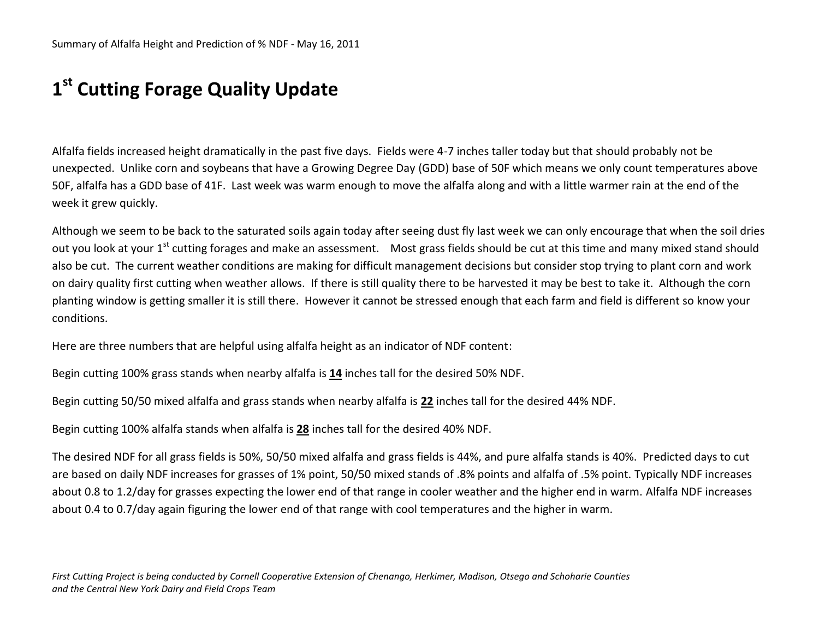## **1 st Cutting Forage Quality Update**

Alfalfa fields increased height dramatically in the past five days. Fields were 4-7 inches taller today but that should probably not be unexpected. Unlike corn and soybeans that have a Growing Degree Day (GDD) base of 50F which means we only count temperatures above 50F, alfalfa has a GDD base of 41F. Last week was warm enough to move the alfalfa along and with a little warmer rain at the end of the week it grew quickly.

Although we seem to be back to the saturated soils again today after seeing dust fly last week we can only encourage that when the soil dries out you look at your 1<sup>st</sup> cutting forages and make an assessment. Most grass fields should be cut at this time and many mixed stand should also be cut. The current weather conditions are making for difficult management decisions but consider stop trying to plant corn and work on dairy quality first cutting when weather allows. If there is still quality there to be harvested it may be best to take it. Although the corn planting window is getting smaller it is still there. However it cannot be stressed enough that each farm and field is different so know your conditions.

Here are three numbers that are helpful using alfalfa height as an indicator of NDF content:

Begin cutting 100% grass stands when nearby alfalfa is **14** inches tall for the desired 50% NDF.

Begin cutting 50/50 mixed alfalfa and grass stands when nearby alfalfa is **22** inches tall for the desired 44% NDF.

Begin cutting 100% alfalfa stands when alfalfa is **28** inches tall for the desired 40% NDF.

The desired NDF for all grass fields is 50%, 50/50 mixed alfalfa and grass fields is 44%, and pure alfalfa stands is 40%. Predicted days to cut are based on daily NDF increases for grasses of 1% point, 50/50 mixed stands of .8% points and alfalfa of .5% point. Typically NDF increases about 0.8 to 1.2/day for grasses expecting the lower end of that range in cooler weather and the higher end in warm. Alfalfa NDF increases about 0.4 to 0.7/day again figuring the lower end of that range with cool temperatures and the higher in warm.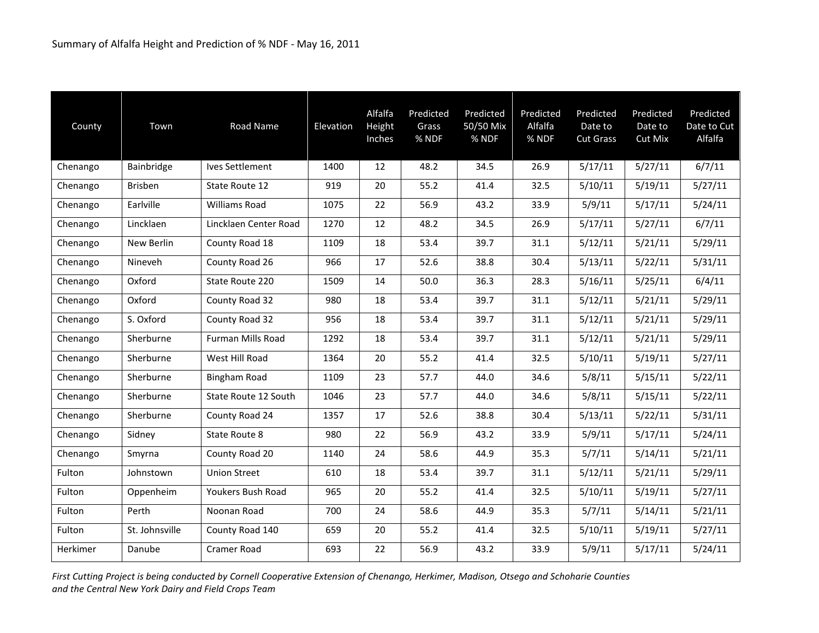| County   | Town           | Road Name             | Elevation | Alfalfa<br>Height<br>Inches | Predicted<br>Grass<br>% NDF | Predicted<br>50/50 Mix<br>% NDF | Predicted<br>Alfalfa<br>% NDF | Predicted<br>Date to<br><b>Cut Grass</b> | Predicted<br>Date to<br>Cut Mix | Predicted<br>Date to Cut<br>Alfalfa |
|----------|----------------|-----------------------|-----------|-----------------------------|-----------------------------|---------------------------------|-------------------------------|------------------------------------------|---------------------------------|-------------------------------------|
| Chenango | Bainbridge     | Ives Settlement       | 1400      | 12                          | 48.2                        | 34.5                            | 26.9                          | 5/17/11                                  | 5/27/11                         | 6/7/11                              |
| Chenango | Brisben        | State Route 12        | 919       | 20                          | 55.2                        | 41.4                            | 32.5                          | 5/10/11                                  | 5/19/11                         | 5/27/11                             |
| Chenango | Earlville      | <b>Williams Road</b>  | 1075      | 22                          | 56.9                        | 43.2                            | 33.9                          | 5/9/11                                   | 5/17/11                         | 5/24/11                             |
| Chenango | Lincklaen      | Lincklaen Center Road | 1270      | 12                          | 48.2                        | 34.5                            | 26.9                          | 5/17/11                                  | 5/27/11                         | 6/7/11                              |
| Chenango | New Berlin     | County Road 18        | 1109      | 18                          | 53.4                        | 39.7                            | 31.1                          | 5/12/11                                  | 5/21/11                         | 5/29/11                             |
| Chenango | Nineveh        | County Road 26        | 966       | 17                          | 52.6                        | 38.8                            | 30.4                          | 5/13/11                                  | 5/22/11                         | 5/31/11                             |
| Chenango | Oxford         | State Route 220       | 1509      | 14                          | 50.0                        | 36.3                            | 28.3                          | 5/16/11                                  | 5/25/11                         | 6/4/11                              |
| Chenango | Oxford         | County Road 32        | 980       | 18                          | 53.4                        | 39.7                            | 31.1                          | 5/12/11                                  | 5/21/11                         | 5/29/11                             |
| Chenango | S. Oxford      | County Road 32        | 956       | 18                          | 53.4                        | 39.7                            | 31.1                          | 5/12/11                                  | 5/21/11                         | 5/29/11                             |
| Chenango | Sherburne      | Furman Mills Road     | 1292      | 18                          | 53.4                        | 39.7                            | 31.1                          | 5/12/11                                  | 5/21/11                         | 5/29/11                             |
| Chenango | Sherburne      | West Hill Road        | 1364      | 20                          | 55.2                        | 41.4                            | 32.5                          | 5/10/11                                  | 5/19/11                         | 5/27/11                             |
| Chenango | Sherburne      | <b>Bingham Road</b>   | 1109      | 23                          | 57.7                        | 44.0                            | 34.6                          | 5/8/11                                   | 5/15/11                         | 5/22/11                             |
| Chenango | Sherburne      | State Route 12 South  | 1046      | 23                          | 57.7                        | 44.0                            | 34.6                          | 5/8/11                                   | 5/15/11                         | 5/22/11                             |
| Chenango | Sherburne      | County Road 24        | 1357      | 17                          | 52.6                        | 38.8                            | 30.4                          | 5/13/11                                  | 5/22/11                         | 5/31/11                             |
| Chenango | Sidney         | State Route 8         | 980       | 22                          | 56.9                        | 43.2                            | 33.9                          | 5/9/11                                   | 5/17/11                         | 5/24/11                             |
| Chenango | Smyrna         | County Road 20        | 1140      | 24                          | 58.6                        | 44.9                            | 35.3                          | 5/7/11                                   | 5/14/11                         | 5/21/11                             |
| Fulton   | Johnstown      | <b>Union Street</b>   | 610       | 18                          | 53.4                        | 39.7                            | 31.1                          | 5/12/11                                  | 5/21/11                         | 5/29/11                             |
| Fulton   | Oppenheim      | Youkers Bush Road     | 965       | 20                          | 55.2                        | 41.4                            | 32.5                          | 5/10/11                                  | 5/19/11                         | 5/27/11                             |
| Fulton   | Perth          | Noonan Road           | 700       | 24                          | 58.6                        | 44.9                            | 35.3                          | 5/7/11                                   | 5/14/11                         | 5/21/11                             |
| Fulton   | St. Johnsville | County Road 140       | 659       | 20                          | 55.2                        | 41.4                            | 32.5                          | 5/10/11                                  | 5/19/11                         | 5/27/11                             |
| Herkimer | Danube         | Cramer Road           | 693       | 22                          | 56.9                        | 43.2                            | 33.9                          | 5/9/11                                   | 5/17/11                         | 5/24/11                             |

*First Cutting Project is being conducted by Cornell Cooperative Extension of Chenango, Herkimer, Madison, Otsego and Schoharie Counties and the Central New York Dairy and Field Crops Team*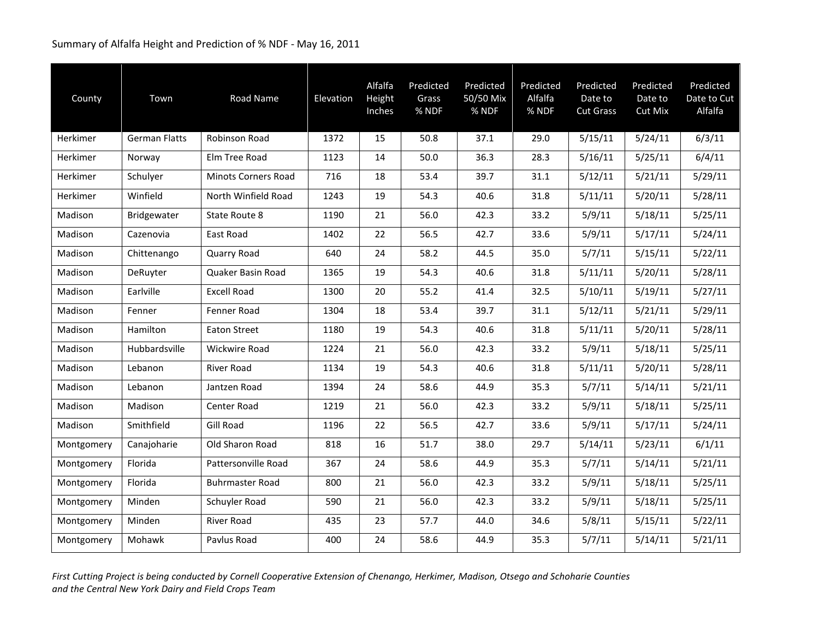## Summary of Alfalfa Height and Prediction of % NDF - May 16, 2011

| County     | Town                 | Road Name                  | Elevation | Alfalfa<br>Height<br>Inches | Predicted<br>Grass<br>% NDF | Predicted<br>50/50 Mix<br>% NDF | Predicted<br>Alfalfa<br>% NDF | Predicted<br>Date to<br><b>Cut Grass</b> | Predicted<br>Date to<br>Cut Mix | Predicted<br>Date to Cut<br>Alfalfa |
|------------|----------------------|----------------------------|-----------|-----------------------------|-----------------------------|---------------------------------|-------------------------------|------------------------------------------|---------------------------------|-------------------------------------|
| Herkimer   | <b>German Flatts</b> | Robinson Road              | 1372      | 15                          | 50.8                        | 37.1                            | 29.0                          | 5/15/11                                  | 5/24/11                         | 6/3/11                              |
| Herkimer   | Norway               | Elm Tree Road              | 1123      | 14                          | 50.0                        | 36.3                            | 28.3                          | 5/16/11                                  | 5/25/11                         | 6/4/11                              |
| Herkimer   | Schulver             | <b>Minots Corners Road</b> | 716       | 18                          | 53.4                        | 39.7                            | 31.1                          | 5/12/11                                  | 5/21/11                         | 5/29/11                             |
| Herkimer   | Winfield             | North Winfield Road        | 1243      | 19                          | 54.3                        | 40.6                            | 31.8                          | 5/11/11                                  | 5/20/11                         | 5/28/11                             |
| Madison    | Bridgewater          | State Route 8              | 1190      | 21                          | 56.0                        | 42.3                            | 33.2                          | 5/9/11                                   | 5/18/11                         | 5/25/11                             |
| Madison    | Cazenovia            | East Road                  | 1402      | 22                          | 56.5                        | 42.7                            | 33.6                          | 5/9/11                                   | 5/17/11                         | 5/24/11                             |
| Madison    | Chittenango          | Quarry Road                | 640       | 24                          | 58.2                        | 44.5                            | 35.0                          | 5/7/11                                   | 5/15/11                         | 5/22/11                             |
| Madison    | DeRuyter             | Quaker Basin Road          | 1365      | 19                          | 54.3                        | 40.6                            | 31.8                          | 5/11/11                                  | 5/20/11                         | 5/28/11                             |
| Madison    | Earlville            | <b>Excell Road</b>         | 1300      | 20                          | 55.2                        | 41.4                            | 32.5                          | 5/10/11                                  | 5/19/11                         | 5/27/11                             |
| Madison    | Fenner               | Fenner Road                | 1304      | 18                          | 53.4                        | 39.7                            | 31.1                          | 5/12/11                                  | 5/21/11                         | 5/29/11                             |
| Madison    | Hamilton             | <b>Eaton Street</b>        | 1180      | 19                          | 54.3                        | 40.6                            | 31.8                          | 5/11/11                                  | 5/20/11                         | 5/28/11                             |
| Madison    | Hubbardsville        | <b>Wickwire Road</b>       | 1224      | 21                          | 56.0                        | 42.3                            | 33.2                          | 5/9/11                                   | 5/18/11                         | 5/25/11                             |
| Madison    | Lebanon              | River Road                 | 1134      | 19                          | 54.3                        | 40.6                            | 31.8                          | 5/11/11                                  | 5/20/11                         | 5/28/11                             |
| Madison    | Lebanon              | Jantzen Road               | 1394      | 24                          | 58.6                        | 44.9                            | 35.3                          | 5/7/11                                   | 5/14/11                         | 5/21/11                             |
| Madison    | Madison              | Center Road                | 1219      | 21                          | 56.0                        | 42.3                            | 33.2                          | 5/9/11                                   | 5/18/11                         | 5/25/11                             |
| Madison    | Smithfield           | <b>Gill Road</b>           | 1196      | 22                          | 56.5                        | 42.7                            | 33.6                          | 5/9/11                                   | 5/17/11                         | 5/24/11                             |
| Montgomery | Canajoharie          | Old Sharon Road            | 818       | 16                          | 51.7                        | 38.0                            | 29.7                          | 5/14/11                                  | 5/23/11                         | 6/1/11                              |
| Montgomery | Florida              | Pattersonville Road        | 367       | 24                          | 58.6                        | 44.9                            | 35.3                          | 5/7/11                                   | 5/14/11                         | 5/21/11                             |
| Montgomery | Florida              | <b>Buhrmaster Road</b>     | 800       | 21                          | 56.0                        | 42.3                            | 33.2                          | 5/9/11                                   | 5/18/11                         | 5/25/11                             |
| Montgomery | Minden               | Schuyler Road              | 590       | 21                          | 56.0                        | 42.3                            | 33.2                          | 5/9/11                                   | 5/18/11                         | 5/25/11                             |
| Montgomery | Minden               | River Road                 | 435       | 23                          | 57.7                        | 44.0                            | 34.6                          | 5/8/11                                   | 5/15/11                         | 5/22/11                             |
| Montgomery | Mohawk               | Pavlus Road                | 400       | 24                          | 58.6                        | 44.9                            | 35.3                          | 5/7/11                                   | 5/14/11                         | 5/21/11                             |

*First Cutting Project is being conducted by Cornell Cooperative Extension of Chenango, Herkimer, Madison, Otsego and Schoharie Counties and the Central New York Dairy and Field Crops Team*